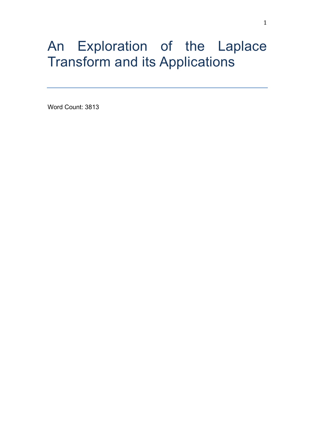# An Exploration of the Laplace Transform and its Applications

Word Count: 3813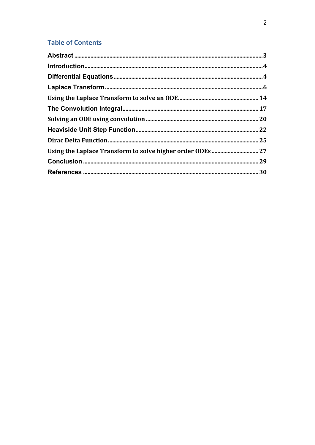## **Table of Contents**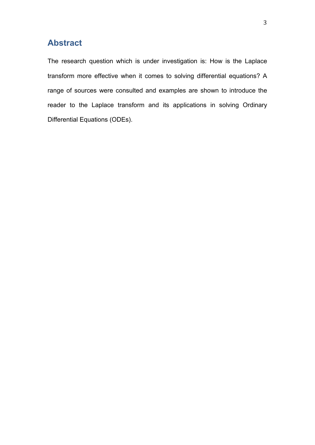## **Abstract**

The research question which is under investigation is: How is the Laplace transform more effective when it comes to solving differential equations? A range of sources were consulted and examples are shown to introduce the reader to the Laplace transform and its applications in solving Ordinary Differential Equations (ODEs).